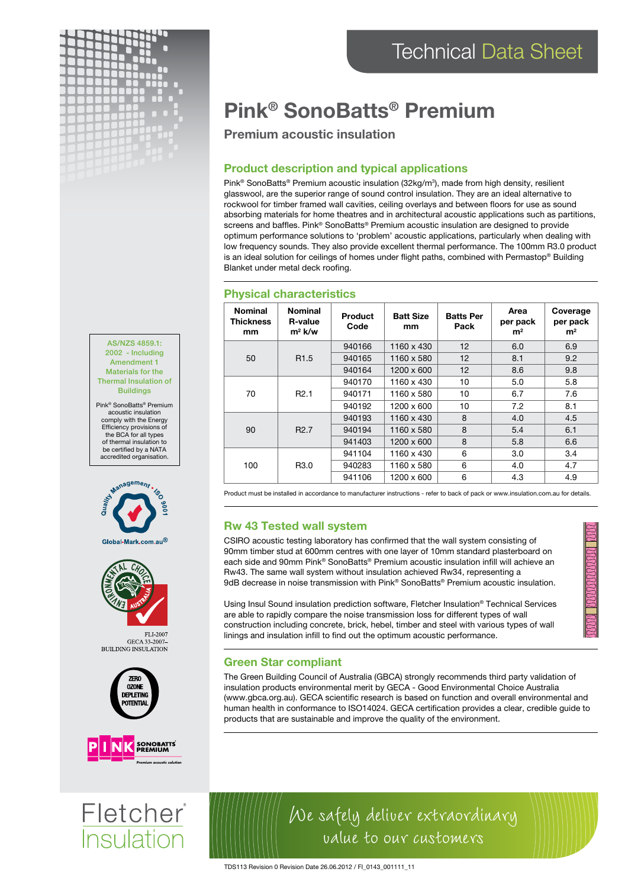

AS/NZS 4859.1: 2002 - Including Amendment 1 Materials for the Thermal Insulation of **Buildings** Pink® SonoBatts® Premium acoustic insulation comply with the Energy Efficiency provisions of the BCA for all types of thermal insulation to be certified by a NATA accredited organisation.

ageme<sub>nt</sub>

Global-Mark.com.au®

GECA 33-2007-<br>BUILDING INSULATION

**ZERO OZONE DEPLETING POTENTIAI** 

EL L2002

# Pink® SonoBatts® Premium

# Premium acoustic insulation

## Product description and typical applications

Pink® SonoBatts® Premium acoustic insulation (32kg/m<sup>3</sup>), made from high density, resilient glasswool, are the superior range of sound control insulation. They are an ideal alternative to rockwool for timber framed wall cavities, ceiling overlays and between floors for use as sound absorbing materials for home theatres and in architectural acoustic applications such as partitions, screens and baffles. Pink® SonoBatts® Premium acoustic insulation are designed to provide optimum performance solutions to 'problem' acoustic applications, particularly when dealing with low frequency sounds. They also provide excellent thermal performance. The 100mm R3.0 product is an ideal solution for ceilings of homes under flight paths, combined with Permastop® Building Blanket under metal deck roofing.

| <b>Nominal</b><br><b>Thickness</b><br>mm | <b>Nominal</b><br><b>R-value</b><br>$m^2$ k/w | Product<br>Code | <b>Batt Size</b><br>mm | <b>Batts Per</b><br>Pack | Area<br>per pack<br>m <sup>2</sup> | Coverage<br>per pack<br>m <sup>2</sup> |
|------------------------------------------|-----------------------------------------------|-----------------|------------------------|--------------------------|------------------------------------|----------------------------------------|
| 50                                       | R <sub>1.5</sub>                              | 940166          | 1160 x 430             | 12                       | 6.0                                | 6.9                                    |
|                                          |                                               | 940165          | 1160 x 580             | 12                       | 8.1                                | 9.2                                    |
|                                          |                                               | 940164          | 1200 x 600             | 12                       | 8.6                                | 9.8                                    |
| 70                                       | R <sub>2.1</sub>                              | 940170          | 1160 x 430             | 10                       | 5.0                                | 5.8                                    |
|                                          |                                               | 940171          | 1160 x 580             | 10                       | 6.7                                | 7.6                                    |
|                                          |                                               | 940192          | 1200 x 600             | 10                       | 7.2                                | 8.1                                    |
| 90                                       | R <sub>2.7</sub>                              | 940193          | 1160 x 430             | 8                        | 4.0                                | 4.5                                    |
|                                          |                                               | 940194          | 1160 x 580             | 8                        | 5.4                                | 6.1                                    |
|                                          |                                               | 941403          | 1200 x 600             | 8                        | 5.8                                | 6.6                                    |
| 100                                      | R <sub>3.0</sub>                              | 941104          | 1160 x 430             | 6                        | 3.0                                | 3.4                                    |
|                                          |                                               | 940283          | 1160 x 580             | 6                        | 4.0                                | 4.7                                    |
|                                          |                                               | 941106          | 1200 x 600             | 6                        | 4.3                                | 4.9                                    |

#### Physical characteristics

Product must be installed in accordance to manufacturer instructions - refer to back of pack or www.insulation.com.au for details.

### Rw 43 Tested wall system

CSIRO acoustic testing laboratory has confirmed that the wall system consisting of 90mm timber stud at 600mm centres with one layer of 10mm standard plasterboard on each side and 90mm Pink® SonoBatts® Premium acoustic insulation infill will achieve an Rw43. The same wall system without insulation achieved Rw34, representing a 9dB decrease in noise transmission with Pink® SonoBatts® Premium acoustic insulation.

Using Insul Sound insulation prediction software, Fletcher Insulation® Technical Services are able to rapidly compare the noise transmission loss for different types of wall construction including concrete, brick, hebel, timber and steel with various types of wall linings and insulation infill to find out the optimum acoustic performance.

### Green Star compliant

The Green Building Council of Australia (GBCA) strongly recommends third party validation of insulation products environmental merit by GECA - Good Environmental Choice Australia (www.gbca.org.au). GECA scientific research is based on function and overall environmental and human health in conformance to ISO14024. GECA certification provides a clear, credible guide to products that are sustainable and improve the quality of the environment.

We safely deliver extraordinary

value to our customers



# Fletcher **Insulation**

TDS113 Revision 0 Revision Date 26.06.2012 / FI\_0143\_001111\_11